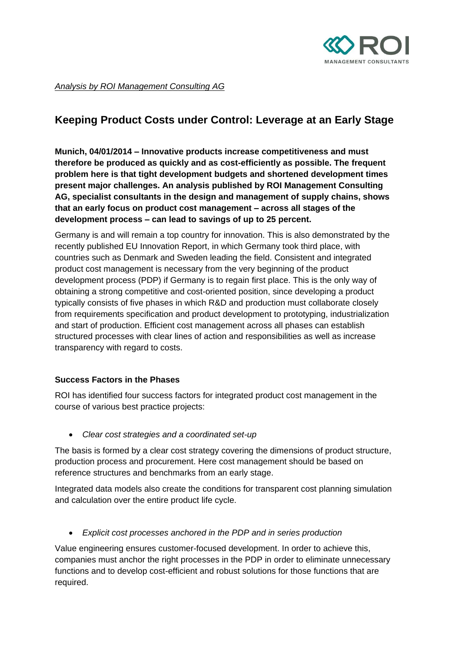

*Analysis by ROI Management Consulting AG*

## **Keeping Product Costs under Control: Leverage at an Early Stage**

**Munich, 04/01/2014 – Innovative products increase competitiveness and must therefore be produced as quickly and as cost-efficiently as possible. The frequent problem here is that tight development budgets and shortened development times present major challenges. An analysis published by ROI Management Consulting AG, specialist consultants in the design and management of supply chains, shows that an early focus on product cost management – across all stages of the development process – can lead to savings of up to 25 percent.**

Germany is and will remain a top country for innovation. This is also demonstrated by the recently published EU Innovation Report, in which Germany took third place, with countries such as Denmark and Sweden leading the field. Consistent and integrated product cost management is necessary from the very beginning of the product development process (PDP) if Germany is to regain first place. This is the only way of obtaining a strong competitive and cost-oriented position, since developing a product typically consists of five phases in which R&D and production must collaborate closely from requirements specification and product development to prototyping, industrialization and start of production. Efficient cost management across all phases can establish structured processes with clear lines of action and responsibilities as well as increase transparency with regard to costs.

## **Success Factors in the Phases**

ROI has identified four success factors for integrated product cost management in the course of various best practice projects:

*Clear cost strategies and a coordinated set-up*

The basis is formed by a clear cost strategy covering the dimensions of product structure, production process and procurement. Here cost management should be based on reference structures and benchmarks from an early stage.

Integrated data models also create the conditions for transparent cost planning simulation and calculation over the entire product life cycle.

*Explicit cost processes anchored in the PDP and in series production*

Value engineering ensures customer-focused development. In order to achieve this, companies must anchor the right processes in the PDP in order to eliminate unnecessary functions and to develop cost-efficient and robust solutions for those functions that are required.